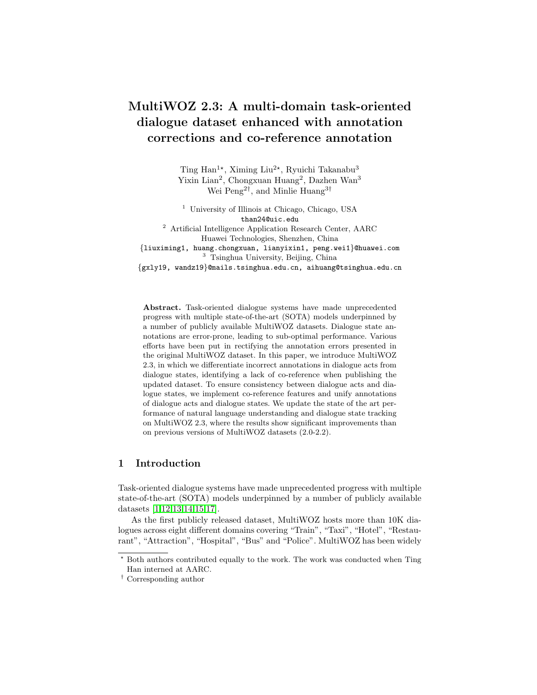# MultiWOZ 2.3: A multi-domain task-oriented dialogue dataset enhanced with annotation corrections and co-reference annotation

Ting Han<sup>1\*</sup>, Ximing Liu<sup>2\*</sup>, Ryuichi Takanabu<sup>3</sup> Yixin Lian<sup>2</sup>, Chongxuan Huang<sup>2</sup>, Dazhen Wan<sup>3</sup> Wei Peng<sup>2†</sup>, and Minlie Huang<sup>3†</sup>

<sup>1</sup> University of Illinois at Chicago, Chicago, USA than24@uic.edu <sup>2</sup> Artificial Intelligence Application Research Center, AARC Huawei Technologies, Shenzhen, China {liuximing1, huang.chongxuan, lianyixin1, peng.wei1}@huawei.com <sup>3</sup> Tsinghua University, Beijing, China {gxly19, wandz19}@mails.tsinghua.edu.cn, aihuang@tsinghua.edu.cn

Abstract. Task-oriented dialogue systems have made unprecedented progress with multiple state-of-the-art (SOTA) models underpinned by a number of publicly available MultiWOZ datasets. Dialogue state annotations are error-prone, leading to sub-optimal performance. Various efforts have been put in rectifying the annotation errors presented in the original MultiWOZ dataset. In this paper, we introduce MultiWOZ 2.3, in which we differentiate incorrect annotations in dialogue acts from dialogue states, identifying a lack of co-reference when publishing the updated dataset. To ensure consistency between dialogue acts and dialogue states, we implement co-reference features and unify annotations of dialogue acts and dialogue states. We update the state of the art performance of natural language understanding and dialogue state tracking on MultiWOZ 2.3, where the results show significant improvements than on previous versions of MultiWOZ datasets (2.0-2.2).

### 1 Introduction

Task-oriented dialogue systems have made unprecedented progress with multiple state-of-the-art (SOTA) models underpinned by a number of publicly available datasets [\[1](#page-10-0)[,12,](#page-10-1)[13,](#page-11-0)[14,](#page-11-1)[15](#page-11-2)[,17\]](#page-11-3).

As the first publicly released dataset, MultiWOZ hosts more than 10K dialogues across eight different domains covering "Train", "Taxi", "Hotel", "Restaurant", "Attraction", "Hospital", "Bus" and "Police". MultiWOZ has been widely

 $^{\star}$  Both authors contributed equally to the work. The work was conducted when Ting Han interned at AARC.

<sup>†</sup> Corresponding author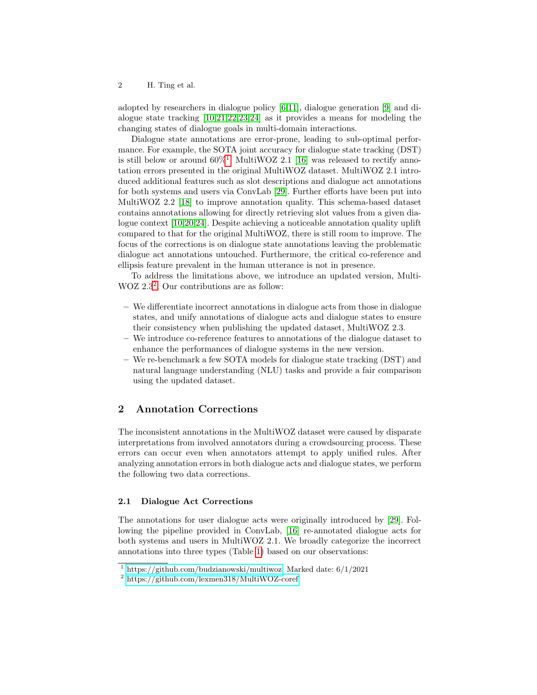adopted by researchers in dialogue policy [\[6,](#page-10-2)[11\]](#page-10-3), dialogue generation [\[9\]](#page-10-4) and dialogue state tracking [\[10](#page-10-5)[,21,](#page-11-4)[22,](#page-11-5)[23](#page-11-6)[,24\]](#page-11-7) as it provides a means for modeling the changing states of dialogue goals in multi-domain interactions.

Dialogue state annotations are error-prone, leading to sub-optimal performance. For example, the SOTA joint accuracy for dialogue state tracking (DST) is still below or around  $60\%$ <sup>[1](#page-1-0)</sup>. MultiWOZ 2.1 [\[16\]](#page-11-8) was released to rectify annotation errors presented in the original MultiWOZ dataset. MultiWOZ 2.1 introduced additional features such as slot descriptions and dialogue act annotations for both systems and users via ConvLab [\[29\]](#page-11-9). Further efforts have been put into MultiWOZ 2.2 [\[18\]](#page-11-10) to improve annotation quality. This schema-based dataset contains annotations allowing for directly retrieving slot values from a given dialogue context [\[10,](#page-10-5)[20,](#page-11-11)[24\]](#page-11-7). Despite achieving a noticeable annotation quality uplift compared to that for the original MultiWOZ, there is still room to improve. The focus of the corrections is on dialogue state annotations leaving the problematic dialogue act annotations untouched. Furthermore, the critical co-reference and ellipsis feature prevalent in the human utterance is not in presence.

To address the limitations above, we introduce an updated version, Multi-WOZ [2](#page-1-1).3<sup>2</sup>. Our contributions are as follow:

- We differentiate incorrect annotations in dialogue acts from those in dialogue states, and unify annotations of dialogue acts and dialogue states to ensure their consistency when publishing the updated dataset, MultiWOZ 2.3.
- We introduce co-reference features to annotations of the dialogue dataset to enhance the performances of dialogue systems in the new version.
- We re-benchmark a few SOTA models for dialogue state tracking (DST) and natural language understanding (NLU) tasks and provide a fair comparison using the updated dataset.

### 2 Annotation Corrections

The inconsistent annotations in the MultiWOZ dataset were caused by disparate interpretations from involved annotators during a crowdsourcing process. These errors can occur even when annotators attempt to apply unified rules. After analyzing annotation errors in both dialogue acts and dialogue states, we perform the following two data corrections.

#### 2.1 Dialogue Act Corrections

The annotations for user dialogue acts were originally introduced by [\[29\]](#page-11-9). Following the pipeline provided in ConvLab, [\[16\]](#page-11-8) re-annotated dialogue acts for both systems and users in MultiWOZ 2.1. We broadly categorize the incorrect annotations into three types (Table [1\)](#page-2-0) based on our observations:

<span id="page-1-0"></span><sup>&</sup>lt;sup>1</sup> [https://github.com/budzianowski/multiwoz.](https://github.com/budzianowski/multiwoz) Marked date:  $6/1/2021$ 

<span id="page-1-1"></span><sup>2</sup> <https://github.com/lexmen318/MultiWOZ-coref>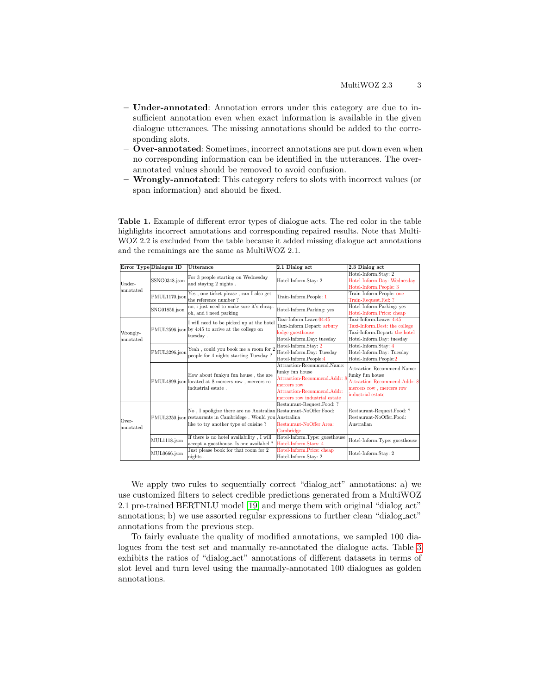- Under-annotated: Annotation errors under this category are due to insufficient annotation even when exact information is available in the given dialogue utterances. The missing annotations should be added to the corresponding slots.
- Over-annotated: Sometimes, incorrect annotations are put down even when no corresponding information can be identified in the utterances. The overannotated values should be removed to avoid confusion.
- Wrongly-annotated: This category refers to slots with incorrect values (or span information) and should be fixed.

<span id="page-2-0"></span>Table 1. Example of different error types of dialogue acts. The red color in the table highlights incorrect annotations and corresponding repaired results. Note that Multi-WOZ 2.2 is excluded from the table because it added missing dialogue act annotations and the remainings are the same as MultiWOZ 2.1.

| Error Type Dialogue ID               |               | Utterance                                                                                                                                                                  | 2.1 Dialog_act                                                                                                                                               | 2.3 Dialog_act                                                                                                                 |
|--------------------------------------|---------------|----------------------------------------------------------------------------------------------------------------------------------------------------------------------------|--------------------------------------------------------------------------------------------------------------------------------------------------------------|--------------------------------------------------------------------------------------------------------------------------------|
| SSNG0348.json<br>Under-<br>annotated |               | For 3 people starting on Wednesday<br>and staying 2 nights.                                                                                                                | Hotel-Inform.Stay: 2                                                                                                                                         | Hotel-Inform.Stay: 2<br>Hotel-Inform.Day: Wednesday<br>Hotel-Inform.People: 3                                                  |
|                                      | PMUL1170.json | Yes, one ticket please, can I also get<br>the reference number?                                                                                                            | Train-Inform.People: 1                                                                                                                                       | Train-Inform.People: one<br>Train-Request.Ref: ?                                                                               |
|                                      | SNG01856.json | no, i just need to make sure it's cheap.<br>oh, and i need parking                                                                                                         | Hotel-Inform.Parking: yes                                                                                                                                    | Hotel-Inform.Parking: yes<br>Hotel-Inform.Price: cheap                                                                         |
| Wrongly-<br>annotated                |               | I will need to be picked up at the hotel<br>PMUL2596.json by 4:45 to arrive at the college on<br>tuesday.                                                                  | Taxi-Inform.Leave:04:45<br>Taxi-Inform.Depart: arbury<br>lodge guesthouse<br>Hotel-Inform.Day: tuesday                                                       | Taxi-Inform.Leave: 4:45<br>Taxi-Inform.Dest: the college<br>Taxi-Inform.Depart: the hotel<br>Hotel-Inform.Day: tuesday         |
|                                      | PMUL3296.json | Yeah, could you book me a room for 2<br>people for 4 nights starting Tuesday?                                                                                              | Hotel-Inform.Stav: 2<br>Hotel-Inform.Day: Tuesday<br>Hotel-Inform.People:4                                                                                   | Hotel-Inform.Stav: 4<br>Hotel-Inform.Day: Tuesday<br>Hotel-Inform.People:2                                                     |
|                                      |               | How about funkyu fun house, the are<br>PMUL4899.json located at 8 mercers row, mercers ro<br>industrial estate.                                                            | Attraction-Recommend.Name:<br>funky fun house<br>Attraction-Recommend.Addr: 8<br>mercers row<br>Attraction-Recommend. Addr:<br>mercers row industrial estate | Attraction-Recommend.Name:<br>funky fun house<br>Attraction-Recommend.Addr: 8<br>mercers row, mercers row<br>industrial estate |
| Over-<br>annotated                   |               | No, I apoligize there are no Australian Restaurant-NoOffer. Food:<br>PMUL3250.json restaurants in Cambridege. Would you Australina<br>like to try another type of cuisine? | Restaurant-Request.Food: ?<br>Restaurant-NoOffer.Area:<br>Cambridge                                                                                          | Restaurant-Request.Food: ?<br>Restaurant-NoOffer.Food:<br>Australian                                                           |
|                                      | MUL1118.json  | If there is no hotel availability, I will<br>accept a guesthouse. Is one availabel?                                                                                        | Hotel-Inform.Type: guesthouse<br>Hotel-Inform.Stars: 4                                                                                                       | Hotel-Inform.Type: guesthouse                                                                                                  |
|                                      | MUL0666.json  | Just please book for that room for 2<br>nights.                                                                                                                            | Hotel-Inform.Price: cheap<br>Hotel-Inform.Stav: 2                                                                                                            | Hotel-Inform.Stay: 2                                                                                                           |

We apply two rules to sequentially correct "dialog<sub>-act</sub>" annotations: a) we use customized filters to select credible predictions generated from a MultiWOZ 2.1 pre-trained BERTNLU model [\[19\]](#page-11-12) and merge them with original "dialog act" annotations; b) we use assorted regular expressions to further clean "dialog act" annotations from the previous step.

To fairly evaluate the quality of modified annotations, we sampled 100 dialogues from the test set and manually re-annotated the dialogue acts. Table [3](#page-3-0) exhibits the ratios of "dialog act" annotations of different datasets in terms of slot level and turn level using the manually-annotated 100 dialogues as golden annotations.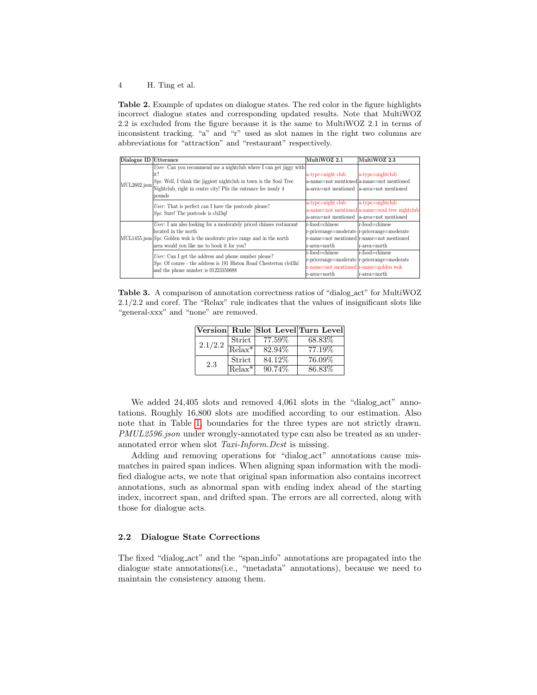<span id="page-3-1"></span>Table 2. Example of updates on dialogue states. The red color in the figure highlights incorrect dialogue states and corresponding updated results. Note that MultiWOZ 2.2 is excluded from the figure because it is the same to MultiWOZ 2.1 in terms of inconsistent tracking. "a" and "r" used as slot names in the right two columns are abbreviations for "attraction" and "restaurant" respectively.

| Dialogue ID Utterance |                                                                                  | MultiWOZ 2.1                                | MultiWOZ 2.3                                    |
|-----------------------|----------------------------------------------------------------------------------|---------------------------------------------|-------------------------------------------------|
|                       | User: Can you recommend me a nightclub where I can get jiggy with                |                                             |                                                 |
|                       | it?                                                                              | a-type=night club                           | $ a-tvpe=$ nightclub                            |
| MUL2602.json          | $\langle Sys:$ Well, I think the jiggiest nightclub in town is the Soul Tree     |                                             | a-name=not mentioned a-name=not mentioned       |
|                       | Nightclub, right in centre city! Plis the entrance fee isonly 4                  | a-area=not mentioned  a-area=not mentioned  |                                                 |
|                       | pounds                                                                           |                                             |                                                 |
|                       | User: That is perfect can I have the postcode please?                            | a-type=night club                           | a-type=nightclub                                |
|                       | Sys: Sure! The postcode is cb23qf                                                |                                             | a-name=not mentioned a-name=soul tree nightclub |
|                       |                                                                                  | a-area=not mentioned  a-area=not mentioned  |                                                 |
|                       | User: I am also looking for a moderately priced chinses restaurant               | r-food=chinese                              | r-food=chinese                                  |
|                       | located in the north                                                             | r-pricerange=moderate r-pricerange=moderate |                                                 |
|                       | $MUL1455$ , json $Sys$ : Golden wok is the moderate price range and in the north | r-name=not mentioned r-name=not mentioned   |                                                 |
|                       | area would you like me to book it for you?                                       | r-area=north                                | r-area=north                                    |
|                       | User: Can I get the address and phone number please?                             | r-food=chinese                              | r-food=chinese                                  |
|                       | $Sys$ : Of course - the address is 191 Histon Road Chesterton cb43hl             | r-pricerange=moderate r-pricerange=moderate |                                                 |
|                       | and the phone number is 01223350688                                              | r-name=not mentioned r-name=golden wok      |                                                 |
|                       |                                                                                  | r-area=north                                | r-area=north                                    |

<span id="page-3-0"></span>Table 3. A comparison of annotation correctness ratios of "dialog act" for MultiWOZ 2.1/2.2 and coref. The "Relax" rule indicates that the values of insignificant slots like "general-xxx" and "none" are removed.

|         |          |         | Version Rule Slot Level Turn Level |
|---------|----------|---------|------------------------------------|
| 2.1/2.2 | Strict   | 77.59%  | 68.83%                             |
|         | $Relax*$ | 82.94%  | 77.19%                             |
| 2.3     | Strict   | 84.12\% | 76.09%                             |
|         | $Relax*$ | 90.74\% | 86.83%                             |

We added 24,405 slots and removed 4,061 slots in the "dialog\_act" annotations. Roughly 16,800 slots are modified according to our estimation. Also note that in Table [1,](#page-2-0) boundaries for the three types are not strictly drawn. PMUL2596.json under wrongly-annotated type can also be treated as an underannotated error when slot Taxi-Inform.Dest is missing.

Adding and removing operations for "dialog<sub>-act</sub>" annotations cause mismatches in paired span indices. When aligning span information with the modified dialogue acts, we note that original span information also contains incorrect annotations, such as abnormal span with ending index ahead of the starting index, incorrect span, and drifted span. The errors are all corrected, along with those for dialogue acts.

#### 2.2 Dialogue State Corrections

The fixed "dialog act" and the "span info" annotations are propagated into the dialogue state annotations(i.e., "metadata" annotations), because we need to maintain the consistency among them.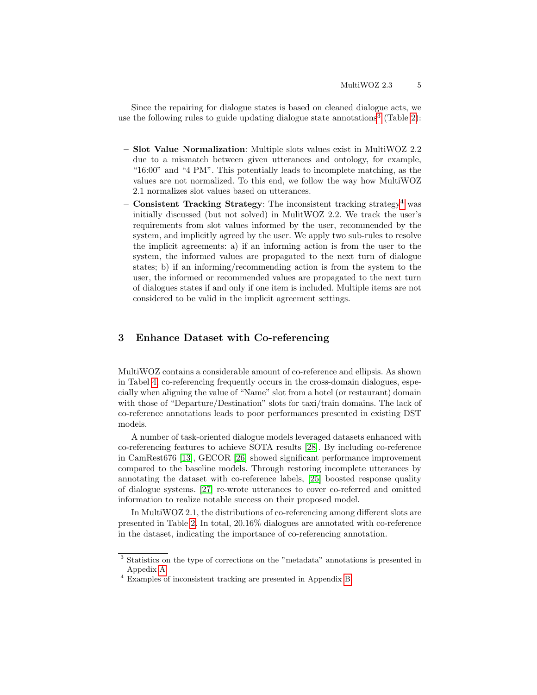Since the repairing for dialogue states is based on cleaned dialogue acts, we use the following rules to guide updating dialogue state annotations<sup>[3](#page-4-0)</sup> (Table [2\)](#page-3-1):

- Slot Value Normalization: Multiple slots values exist in MultiWOZ 2.2 due to a mismatch between given utterances and ontology, for example, "16:00" and "4 PM". This potentially leads to incomplete matching, as the values are not normalized. To this end, we follow the way how MultiWOZ 2.1 normalizes slot values based on utterances.
- **Consistent Tracking Strategy:** The inconsistent tracking strategy<sup>[4](#page-4-1)</sup> was initially discussed (but not solved) in MulitWOZ 2.2. We track the user's requirements from slot values informed by the user, recommended by the system, and implicitly agreed by the user. We apply two sub-rules to resolve the implicit agreements: a) if an informing action is from the user to the system, the informed values are propagated to the next turn of dialogue states; b) if an informing/recommending action is from the system to the user, the informed or recommended values are propagated to the next turn of dialogues states if and only if one item is included. Multiple items are not considered to be valid in the implicit agreement settings.

### 3 Enhance Dataset with Co-referencing

MultiWOZ contains a considerable amount of co-reference and ellipsis. As shown in Tabel [4,](#page-5-0) co-referencing frequently occurs in the cross-domain dialogues, especially when aligning the value of "Name" slot from a hotel (or restaurant) domain with those of "Departure/Destination" slots for taxi/train domains. The lack of co-reference annotations leads to poor performances presented in existing DST models.

A number of task-oriented dialogue models leveraged datasets enhanced with co-referencing features to achieve SOTA results [\[28\]](#page-11-13). By including co-reference in CamRest676 [\[13\]](#page-11-0), GECOR [\[26\]](#page-11-14) showed significant performance improvement compared to the baseline models. Through restoring incomplete utterances by annotating the dataset with co-reference labels, [\[25\]](#page-11-15) boosted response quality of dialogue systems. [\[27\]](#page-11-16) re-wrote utterances to cover co-referred and omitted information to realize notable success on their proposed model.

In MultiWOZ 2.1, the distributions of co-referencing among different slots are presented in Table [2.](#page-13-0) In total, 20.16% dialogues are annotated with co-reference in the dataset, indicating the importance of co-referencing annotation.

<span id="page-4-0"></span><sup>3</sup> Statistics on the type of corrections on the "metadata" annotations is presented in Appedix [A](#page-12-0)

<span id="page-4-1"></span><sup>4</sup> Examples of inconsistent tracking are presented in Appendix [B](#page-12-1)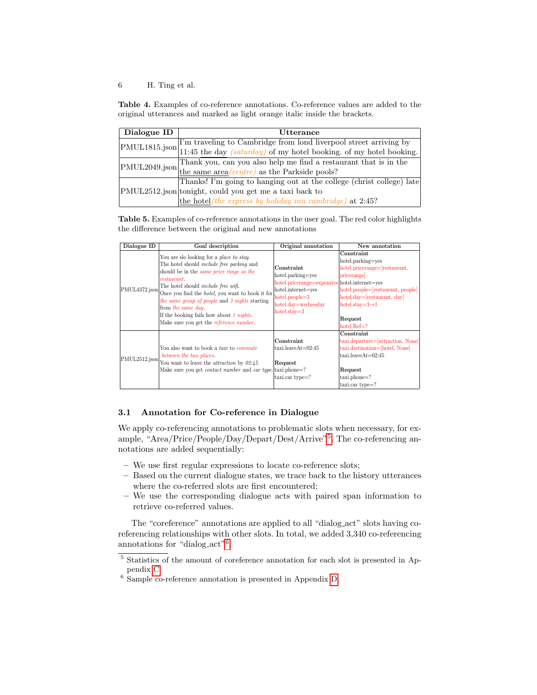<span id="page-5-0"></span>Table 4. Examples of co-reference annotations. Co-reference values are added to the original utterances and marked as light orange italic inside the brackets.

| Dialogue ID | Utterance                                                                                        |  |  |
|-------------|--------------------------------------------------------------------------------------------------|--|--|
|             | I'm traveling to Cambridge from lond liverpool street arriving by                                |  |  |
|             | $\text{PMUL1815.json}$ 11:45 the day <i>(saturday)</i> of my hotel booking. of my hotel booking. |  |  |
|             | Thank you, can you also help me find a restaurant that is in the                                 |  |  |
|             | $\text{PMUL2049.json}$ the same area (centre) as the Parkside pools?                             |  |  |
|             | Thanks! I'm going to hanging out at the college (christ college) late                            |  |  |
|             | PMUL2512.json tonight, could you get me a taxi back to                                           |  |  |
|             | the hotel (the express by holiday inn cambridge) at 2:45?                                        |  |  |

<span id="page-5-3"></span>Table 5. Examples of co-reference annotations in the user goal. The red color highlights the difference between the original and new annotations

| Dialogue ID   | Goal description                                                                                                                                                                                                                                                                                                                                                                                                                                               | Original annotation                                                                                                                                                  | New annotation                                                                                                                                                                                                   |
|---------------|----------------------------------------------------------------------------------------------------------------------------------------------------------------------------------------------------------------------------------------------------------------------------------------------------------------------------------------------------------------------------------------------------------------------------------------------------------------|----------------------------------------------------------------------------------------------------------------------------------------------------------------------|------------------------------------------------------------------------------------------------------------------------------------------------------------------------------------------------------------------|
| PMUL4372.json | You are slo looking for a place to stay.<br>The hotel should <i>include free parking</i> and<br>should be in the <i>same price range as the</i><br><i>restaurant</i><br>The hotel should <i>include free wifi</i> .<br>Once you find the <i>hotel</i> , you want to book it for<br>the same group of people and 3 nights starting<br>from the same day.<br>If the booking fails how about 1 <i>nights</i> .<br>Make sure you get the <i>reference number</i> . | Constraint<br>hotel.parking=yes<br>hotel.pricerange=expensive hotel.internet=yes<br>hotel.internet=yes<br>$hotel, people=3$<br>hotel.day=wednesday<br>$hotel.stav=3$ | Constraint<br>hotel.parking=yes<br>hotel.pricerange=[restaurant,<br>pricerange<br>hotel.people=[restaurant, people]<br>hotel.day=[restaurant, day]<br>hotel.stay= $3\rightarrow 1$<br>Request<br>$hotel, Ref =?$ |
| PMUL2512.json | You also want to book a taxi to commute<br>between the two places.<br>You want to leave the <i>attraction</i> by $02:45$ .<br>Make sure you get <i>contact number</i> and <i>car type</i> . taxi.phone=?                                                                                                                                                                                                                                                       | Constraint<br>$taxi.leaveAt=02:45$<br>Request<br>taxi.car type=?                                                                                                     | Constraint<br>taxi.departure=[attraction, None]<br>taxi.destination=[hotel, None]<br>$taxi.leaveAt=02:45$<br>Request<br>taxi.phone=?<br>taxi.car type=?                                                          |

### 3.1 Annotation for Co-reference in Dialogue

We apply co-referencing annotations to problematic slots when necessary, for example, "Area/Price/People/Day/Depart/Dest/Arrive"[5](#page-5-1) . The co-referencing annotations are added sequentially:

- We use first regular expressions to locate co-reference slots;
- Based on the current dialogue states, we trace back to the history utterances where the co-referred slots are first encountered;
- We use the corresponding dialogue acts with paired span information to retrieve co-referred values.

The "coreference" annotations are applied to all "dialog act" slots having coreferencing relationships with other slots. In total, we added 3,340 co-referencing annotations for "dialog\_act"<sup>[6](#page-5-2)</sup>.

<span id="page-5-1"></span><sup>5</sup> Statistics of the amount of coreference annotation for each slot is presented in Appendix [C.](#page-13-1)

<span id="page-5-2"></span><sup>6</sup> Sample co-reference annotation is presented in Appendix [D.](#page-13-2)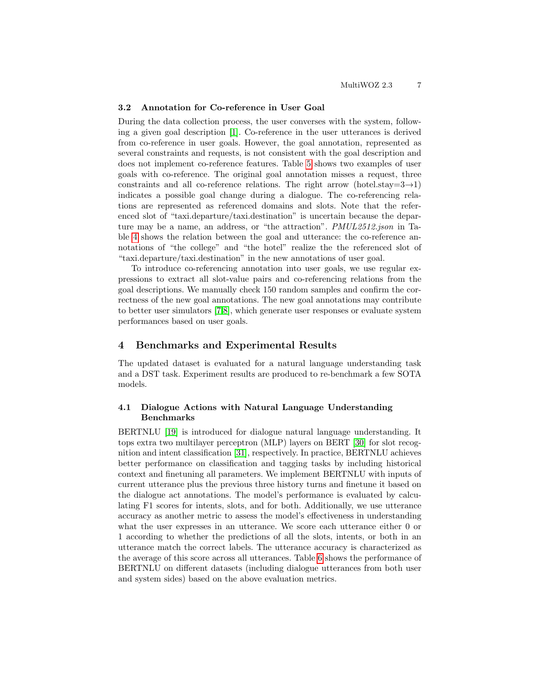#### 3.2 Annotation for Co-reference in User Goal

During the data collection process, the user converses with the system, following a given goal description [\[1\]](#page-10-0). Co-reference in the user utterances is derived from co-reference in user goals. However, the goal annotation, represented as several constraints and requests, is not consistent with the goal description and does not implement co-reference features. Table [5](#page-5-3) shows two examples of user goals with co-reference. The original goal annotation misses a request, three constraints and all co-reference relations. The right arrow (hotel.stay= $3\rightarrow1$ ) indicates a possible goal change during a dialogue. The co-referencing relations are represented as referenced domains and slots. Note that the referenced slot of "taxi.departure/taxi.destination" is uncertain because the departure may be a name, an address, or "the attraction". PMUL2512.json in Table [4](#page-5-0) shows the relation between the goal and utterance: the co-reference annotations of "the college" and "the hotel" realize the the referenced slot of "taxi.departure/taxi.destination" in the new annotations of user goal.

To introduce co-referencing annotation into user goals, we use regular expressions to extract all slot-value pairs and co-referencing relations from the goal descriptions. We manually check 150 random samples and confirm the correctness of the new goal annotations. The new goal annotations may contribute to better user simulators [\[7,](#page-10-6)[8\]](#page-10-7), which generate user responses or evaluate system performances based on user goals.

### 4 Benchmarks and Experimental Results

The updated dataset is evaluated for a natural language understanding task and a DST task. Experiment results are produced to re-benchmark a few SOTA models.

### 4.1 Dialogue Actions with Natural Language Understanding Benchmarks

BERTNLU [\[19\]](#page-11-12) is introduced for dialogue natural language understanding. It tops extra two multilayer perceptron (MLP) layers on BERT [\[30\]](#page-11-17) for slot recognition and intent classification [\[31\]](#page-11-18), respectively. In practice, BERTNLU achieves better performance on classification and tagging tasks by including historical context and finetuning all parameters. We implement BERTNLU with inputs of current utterance plus the previous three history turns and finetune it based on the dialogue act annotations. The model's performance is evaluated by calculating F1 scores for intents, slots, and for both. Additionally, we use utterance accuracy as another metric to assess the model's effectiveness in understanding what the user expresses in an utterance. We score each utterance either 0 or 1 according to whether the predictions of all the slots, intents, or both in an utterance match the correct labels. The utterance accuracy is characterized as the average of this score across all utterances. Table [6](#page-7-0) shows the performance of BERTNLU on different datasets (including dialogue utterances from both user and system sides) based on the above evaluation metrics.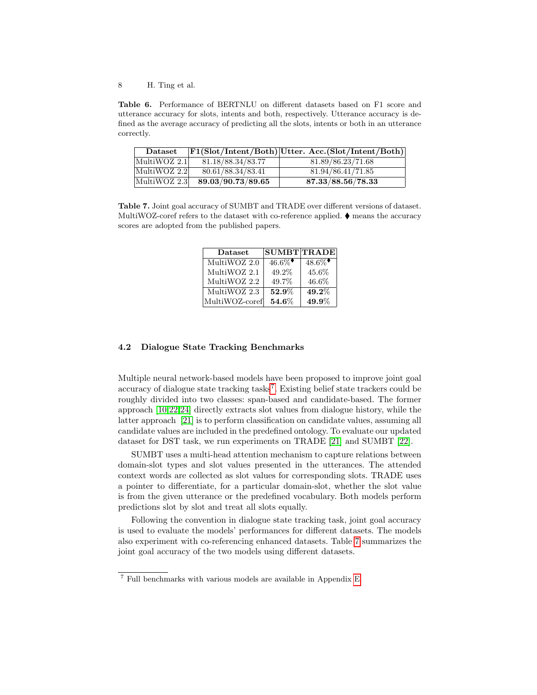<span id="page-7-0"></span>Table 6. Performance of BERTNLU on different datasets based on F1 score and utterance accuracy for slots, intents and both, respectively. Utterance accuracy is defined as the average accuracy of predicting all the slots, intents or both in an utterance correctly.

| <b>Dataset</b> |                   | $ F1(Slot/Intent/Both) Utter. Acc.(Slot/Intent/Both) $ |
|----------------|-------------------|--------------------------------------------------------|
| MultiWOZ 2.1   | 81.18/88.34/83.77 | 81.89/86.23/71.68                                      |
| MultiWOZ 2.2   | 80.61/88.34/83.41 | 81.94/86.41/71.85                                      |
| MultiWOZ 2.3   | 89.03/90.73/89.65 | 87.33/88.56/78.33                                      |

<span id="page-7-2"></span>Table 7. Joint goal accuracy of SUMBT and TRADE over different versions of dataset. MultiWOZ-coref refers to the dataset with co-reference applied.  $\blacklozenge$  means the accuracy scores are adopted from the published papers.

| Dataset        | $ {\rm SUMBT TRADE} $ |          |
|----------------|-----------------------|----------|
| MultiWOZ 2.0   | $46.6\%$              | $48.6\%$ |
| MultiWOZ 2.1   | 49.2%                 | 45.6%    |
| MultiWOZ 2.2   | 49.7%                 | 46.6%    |
| MultiWOZ 2.3   | 52.9%                 | $49.2\%$ |
| MultiWOZ-coref | $54.6\%$              | 49.9%    |

### 4.2 Dialogue State Tracking Benchmarks

Multiple neural network-based models have been proposed to improve joint goal accuracy of dialogue state tracking tasks<sup>[7](#page-7-1)</sup>. Existing belief state trackers could be roughly divided into two classes: span-based and candidate-based. The former approach [\[10](#page-10-5)[,22,](#page-11-5)[24\]](#page-11-7) directly extracts slot values from dialogue history, while the latter approach [\[21\]](#page-11-4) is to perform classification on candidate values, assuming all candidate values are included in the predefined ontology. To evaluate our updated dataset for DST task, we run experiments on TRADE [\[21\]](#page-11-4) and SUMBT [\[22\]](#page-11-5).

SUMBT uses a multi-head attention mechanism to capture relations between domain-slot types and slot values presented in the utterances. The attended context words are collected as slot values for corresponding slots. TRADE uses a pointer to differentiate, for a particular domain-slot, whether the slot value is from the given utterance or the predefined vocabulary. Both models perform predictions slot by slot and treat all slots equally.

Following the convention in dialogue state tracking task, joint goal accuracy is used to evaluate the models' performances for different datasets. The models also experiment with co-referencing enhanced datasets. Table [7](#page-7-2) summarizes the joint goal accuracy of the two models using different datasets.

<span id="page-7-1"></span><sup>7</sup> Full benchmarks with various models are available in Appendix [E.](#page-14-0)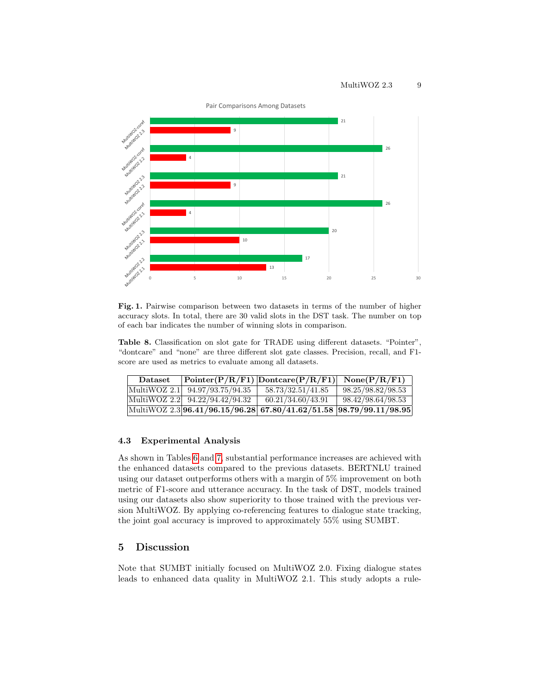

<span id="page-8-0"></span>Fig. 1. Pairwise comparison between two datasets in terms of the number of higher accuracy slots. In total, there are 30 valid slots in the DST task. The number on top of each bar indicates the number of winning slots in comparison.

<span id="page-8-1"></span>Table 8. Classification on slot gate for TRADE using different datasets. "Pointer", "dontcare" and "none" are three different slot gate classes. Precision, recall, and F1 score are used as metrics to evaluate among all datasets.

| <b>Dataset</b> |                                               | $\boxed{\text{Pointer}(P/R/F1)   \text{Dontcare}(P/R/F1)   \text{None}(P/R/F1)}$ |                   |
|----------------|-----------------------------------------------|----------------------------------------------------------------------------------|-------------------|
|                | $\text{MultiWOZ } 2.1 \mid 94.97/93.75/94.35$ | 58.73/32.51/41.85                                                                | 98.25/98.82/98.53 |
|                | MultiWOZ 2.2 94.22/94.42/94.32                | 60.21/34.60/43.91                                                                | 98.42/98.64/98.53 |
|                |                                               | MultiWOZ 2.3 96.41/96.15/96.28 67.80/41.62/51.58 98.79/99.11/98.95               |                   |

#### 4.3 Experimental Analysis

As shown in Tables [6](#page-7-0) and [7,](#page-7-2) substantial performance increases are achieved with the enhanced datasets compared to the previous datasets. BERTNLU trained using our dataset outperforms others with a margin of 5% improvement on both metric of F1-score and utterance accuracy. In the task of DST, models trained using our datasets also show superiority to those trained with the previous version MultiWOZ. By applying co-referencing features to dialogue state tracking, the joint goal accuracy is improved to approximately 55% using SUMBT.

### 5 Discussion

Note that SUMBT initially focused on MultiWOZ 2.0. Fixing dialogue states leads to enhanced data quality in MultiWOZ 2.1. This study adopts a rule-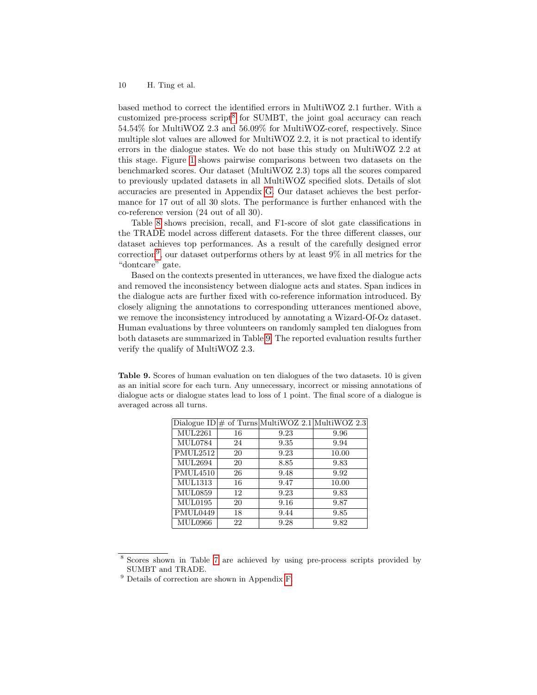based method to correct the identified errors in MultiWOZ 2.1 further. With a customized pre-process script<sup>[8](#page-9-0)</sup> for SUMBT, the joint goal accuracy can reach 54.54% for MultiWOZ 2.3 and 56.09% for MultiWOZ-coref, respectively. Since multiple slot values are allowed for MultiWOZ 2.2, it is not practical to identify errors in the dialogue states. We do not base this study on MultiWOZ 2.2 at this stage. Figure [1](#page-8-0) shows pairwise comparisons between two datasets on the benchmarked scores. Our dataset (MultiWOZ 2.3) tops all the scores compared to previously updated datasets in all MultiWOZ specified slots. Details of slot accuracies are presented in Appendix [G.](#page-16-0) Our dataset achieves the best performance for 17 out of all 30 slots. The performance is further enhanced with the co-reference version (24 out of all 30).

Table [8](#page-8-1) shows precision, recall, and F1-score of slot gate classifications in the TRADE model across different datasets. For the three different classes, our dataset achieves top performances. As a result of the carefully designed error correction<sup>[9](#page-9-1)</sup>, our dataset outperforms others by at least  $9\%$  in all metrics for the "dontcare" gate.

Based on the contexts presented in utterances, we have fixed the dialogue acts and removed the inconsistency between dialogue acts and states. Span indices in the dialogue acts are further fixed with co-reference information introduced. By closely aligning the annotations to corresponding utterances mentioned above, we remove the inconsistency introduced by annotating a Wizard-Of-Oz dataset. Human evaluations by three volunteers on randomly sampled ten dialogues from both datasets are summarized in Table [9.](#page-9-2) The reported evaluation results further verify the qualify of MultiWOZ 2.3.

<span id="page-9-2"></span>Table 9. Scores of human evaluation on ten dialogues of the two datasets. 10 is given as an initial score for each turn. Any unnecessary, incorrect or missing annotations of dialogue acts or dialogue states lead to loss of 1 point. The final score of a dialogue is averaged across all turns.

|                 |    | Dialogue ID $\#$ of Turns MultiWOZ 2.1 MultiWOZ 2.3 |       |
|-----------------|----|-----------------------------------------------------|-------|
| MUL2261         | 16 | 9.23                                                | 9.96  |
| <b>MUL0784</b>  | 24 | 9.35                                                | 9.94  |
| PMUL2512        | 20 | 9.23                                                | 10.00 |
| <b>MUL2694</b>  | 20 | 8.85                                                | 9.83  |
| <b>PMUL4510</b> | 26 | 9.48                                                | 9.92  |
| <b>MUL1313</b>  | 16 | 9.47                                                | 10.00 |
| <b>MUL0859</b>  | 12 | 9.23                                                | 9.83  |
| MUL0195         | 20 | 9.16                                                | 9.87  |
| PMUL0449        | 18 | 9.44                                                | 9.85  |
| <b>MUL0966</b>  | 22 | 9.28                                                | 9.82  |

<span id="page-9-0"></span><sup>8</sup> Scores shown in Table [7](#page-7-2) are achieved by using pre-process scripts provided by SUMBT and TRADE.

<span id="page-9-1"></span><sup>9</sup> Details of correction are shown in Appendix [F.](#page-15-0)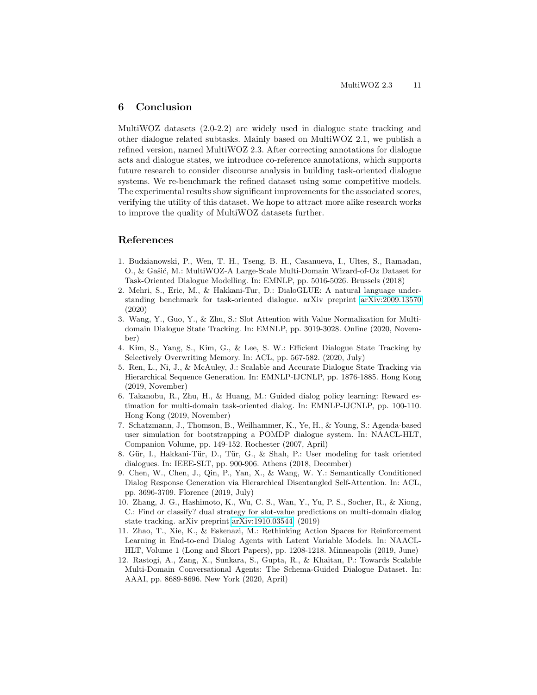### 6 Conclusion

MultiWOZ datasets (2.0-2.2) are widely used in dialogue state tracking and other dialogue related subtasks. Mainly based on MultiWOZ 2.1, we publish a refined version, named MultiWOZ 2.3. After correcting annotations for dialogue acts and dialogue states, we introduce co-reference annotations, which supports future research to consider discourse analysis in building task-oriented dialogue systems. We re-benchmark the refined dataset using some competitive models. The experimental results show significant improvements for the associated scores, verifying the utility of this dataset. We hope to attract more alike research works to improve the quality of MultiWOZ datasets further.

### References

- <span id="page-10-0"></span>1. Budzianowski, P., Wen, T. H., Tseng, B. H., Casanueva, I., Ultes, S., Ramadan, O., & Gašić, M.: MultiWOZ-A Large-Scale Multi-Domain Wizard-of-Oz Dataset for Task-Oriented Dialogue Modelling. In: EMNLP, pp. 5016-5026. Brussels (2018)
- <span id="page-10-10"></span>2. Mehri, S., Eric, M., & Hakkani-Tur, D.: DialoGLUE: A natural language understanding benchmark for task-oriented dialogue. arXiv preprint [arXiv:2009.13570](https://arxiv.org/abs/2009.13570) (2020)
- <span id="page-10-11"></span>3. Wang, Y., Guo, Y., & Zhu, S.: Slot Attention with Value Normalization for Multidomain Dialogue State Tracking. In: EMNLP, pp. 3019-3028. Online (2020, November)
- <span id="page-10-9"></span>4. Kim, S., Yang, S., Kim, G., & Lee, S. W.: Efficient Dialogue State Tracking by Selectively Overwriting Memory. In: ACL, pp. 567-582. (2020, July)
- <span id="page-10-8"></span>5. Ren, L., Ni, J., & McAuley, J.: Scalable and Accurate Dialogue State Tracking via Hierarchical Sequence Generation. In: EMNLP-IJCNLP, pp. 1876-1885. Hong Kong (2019, November)
- <span id="page-10-2"></span>6. Takanobu, R., Zhu, H., & Huang, M.: Guided dialog policy learning: Reward estimation for multi-domain task-oriented dialog. In: EMNLP-IJCNLP, pp. 100-110. Hong Kong (2019, November)
- <span id="page-10-6"></span>7. Schatzmann, J., Thomson, B., Weilhammer, K., Ye, H., & Young, S.: Agenda-based user simulation for bootstrapping a POMDP dialogue system. In: NAACL-HLT, Companion Volume, pp. 149-152. Rochester (2007, April)
- <span id="page-10-7"></span>8. Gür, I., Hakkani-Tür, D., Tür, G., & Shah, P.: User modeling for task oriented dialogues. In: IEEE-SLT, pp. 900-906. Athens (2018, December)
- <span id="page-10-4"></span>9. Chen, W., Chen, J., Qin, P., Yan, X., & Wang, W. Y.: Semantically Conditioned Dialog Response Generation via Hierarchical Disentangled Self-Attention. In: ACL, pp. 3696-3709. Florence (2019, July)
- <span id="page-10-5"></span>10. Zhang, J. G., Hashimoto, K., Wu, C. S., Wan, Y., Yu, P. S., Socher, R., & Xiong, C.: Find or classify? dual strategy for slot-value predictions on multi-domain dialog state tracking. arXiv preprint [arXiv:1910.03544.](https://arxiv.org/abs/1910.03544) (2019)
- <span id="page-10-3"></span>11. Zhao, T., Xie, K., & Eskenazi, M.: Rethinking Action Spaces for Reinforcement Learning in End-to-end Dialog Agents with Latent Variable Models. In: NAACL-HLT, Volume 1 (Long and Short Papers), pp. 1208-1218. Minneapolis (2019, June)
- <span id="page-10-1"></span>12. Rastogi, A., Zang, X., Sunkara, S., Gupta, R., & Khaitan, P.: Towards Scalable Multi-Domain Conversational Agents: The Schema-Guided Dialogue Dataset. In: AAAI, pp. 8689-8696. New York (2020, April)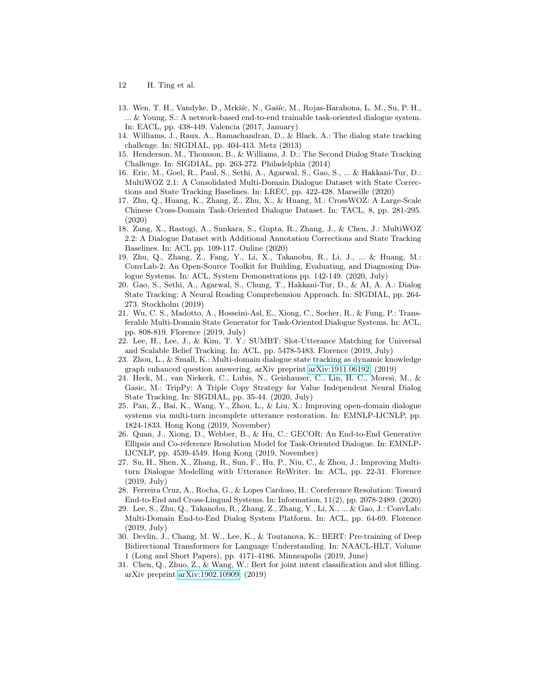- 12 H. Ting et al.
- <span id="page-11-0"></span>13. Wen, T. H., Vandyke, D., Mrkšíc, N., Gašíc, M., Rojas-Barahona, L. M., Su, P. H., ... & Young, S.: A network-based end-to-end trainable task-oriented dialogue system. In: EACL, pp. 438-449. Valencia (2017, January)
- <span id="page-11-1"></span>14. Williams, J., Raux, A., Ramachandran, D., & Black, A.: The dialog state tracking challenge. In: SIGDIAL, pp. 404-413. Metz (2013)
- <span id="page-11-2"></span>15. Henderson, M., Thomson, B., & Williams, J. D.: The Second Dialog State Tracking Challenge. In: SIGDIAL, pp. 263-272. Philadelphia (2014)
- <span id="page-11-8"></span>16. Eric, M., Goel, R., Paul, S., Sethi, A., Agarwal, S., Gao, S., ... & Hakkani-Tur, D.: MultiWOZ 2.1: A Consolidated Multi-Domain Dialogue Dataset with State Corrections and State Tracking Baselines. In: LREC, pp. 422-428. Marseille (2020)
- <span id="page-11-3"></span>17. Zhu, Q., Huang, K., Zhang, Z., Zhu, X., & Huang, M.: CrossWOZ: A Large-Scale Chinese Cross-Domain Task-Oriented Dialogue Dataset. In: TACL, 8, pp. 281-295. (2020)
- <span id="page-11-10"></span>18. Zang, X., Rastogi, A., Sunkara, S., Gupta, R., Zhang, J., & Chen, J.: MultiWOZ 2.2: A Dialogue Dataset with Additional Annotation Corrections and State Tracking Baselines. In: ACL pp. 109-117. Online (2020)
- <span id="page-11-12"></span>19. Zhu, Q., Zhang, Z., Fang, Y., Li, X., Takanobu, R., Li, J., ... & Huang, M.: ConvLab-2: An Open-Source Toolkit for Building, Evaluating, and Diagnosing Dialogue Systems. In: ACL, System Demonstrations pp. 142-149. (2020, July)
- <span id="page-11-11"></span>20. Gao, S., Sethi, A., Agarwal, S., Chung, T., Hakkani-Tur, D., & AI, A. A.: Dialog State Tracking: A Neural Reading Comprehension Approach. In: SIGDIAL, pp. 264- 273. Stockholm (2019)
- <span id="page-11-4"></span>21. Wu, C. S., Madotto, A., Hosseini-Asl, E., Xiong, C., Socher, R., & Fung, P.: Transferable Multi-Domain State Generator for Task-Oriented Dialogue Systems. In: ACL, pp. 808-819. Florence (2019, July)
- <span id="page-11-5"></span>22. Lee, H., Lee, J., & Kim, T. Y.: SUMBT: Slot-Utterance Matching for Universal and Scalable Belief Tracking. In: ACL, pp. 5478-5483. Florence (2019, July)
- <span id="page-11-6"></span>23. Zhou, L., & Small, K.: Multi-domain dialogue state tracking as dynamic knowledge graph enhanced question answering. arXiv preprint [arXiv:1911.06192.](https://arxiv.org/abs/1911.06192) (2019)
- <span id="page-11-7"></span>24. Heck, M., van Niekerk, C., Lubis, N., Geishauser, C., Lin, H. C., Moresi, M., & Gasic, M.: TripPy: A Triple Copy Strategy for Value Independent Neural Dialog State Tracking. In: SIGDIAL, pp. 35-44. (2020, July)
- <span id="page-11-15"></span>25. Pan, Z., Bai, K., Wang, Y., Zhou, L., & Liu, X.: Improving open-domain dialogue systems via multi-turn incomplete utterance restoration. In: EMNLP-IJCNLP, pp. 1824-1833. Hong Kong (2019, November)
- <span id="page-11-14"></span>26. Quan, J., Xiong, D., Webber, B., & Hu, C.: GECOR: An End-to-End Generative Ellipsis and Co-reference Resolution Model for Task-Oriented Dialogue. In: EMNLP-IJCNLP, pp. 4539-4549. Hong Kong (2019, November)
- <span id="page-11-16"></span>27. Su, H., Shen, X., Zhang, R., Sun, F., Hu, P., Niu, C., & Zhou, J.: Improving Multiturn Dialogue Modelling with Utterance ReWriter. In: ACL, pp. 22-31. Florence (2019, July)
- <span id="page-11-13"></span>28. Ferreira Cruz, A., Rocha, G., & Lopes Cardoso, H.: Coreference Resolution: Toward End-to-End and Cross-Lingual Systems. In: Information, 11(2), pp. 2078-2489. (2020)
- <span id="page-11-9"></span>29. Lee, S., Zhu, Q., Takanobu, R., Zhang, Z., Zhang, Y., Li, X., ... & Gao, J.: ConvLab: Multi-Domain End-to-End Dialog System Platform. In: ACL, pp. 64-69. Florence (2019, July)
- <span id="page-11-17"></span>30. Devlin, J., Chang, M. W., Lee, K., & Toutanova, K.: BERT: Pre-training of Deep Bidirectional Transformers for Language Understanding. In: NAACL-HLT, Volume 1 (Long and Short Papers), pp. 4171-4186. Minneapolis (2019, June)
- <span id="page-11-18"></span>31. Chen, Q., Zhuo, Z., & Wang, W.: Bert for joint intent classification and slot filling. arXiv preprint [arXiv:1902.10909.](https://arxiv.org/abs/1902.10909) (2019)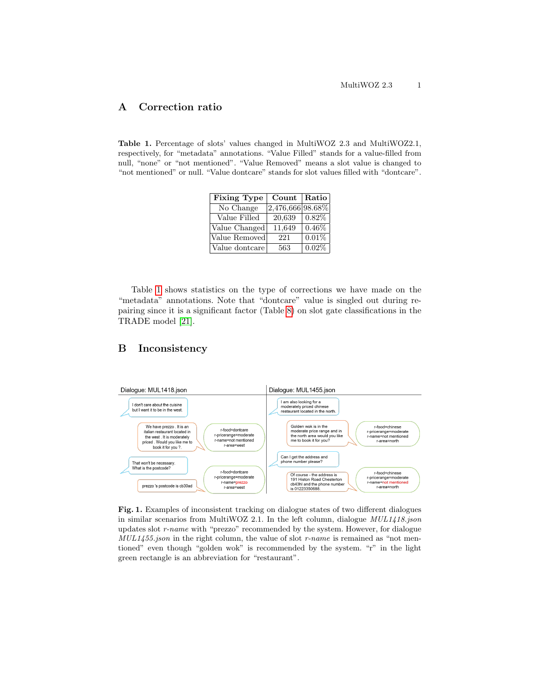### <span id="page-12-0"></span>A Correction ratio

<span id="page-12-2"></span>Table 1. Percentage of slots' values changed in MultiWOZ 2.3 and MultiWOZ2.1, respectively, for "metadata" annotations. "Value Filled" stands for a value-filled from null, "none" or "not mentioned". "Value Removed" means a slot value is changed to "not mentioned" or null. "Value dontcare" stands for slot values filled with "dontcare".

| <b>Fixing Type</b> | Count            | $\vert$ Ratio $\vert$ |
|--------------------|------------------|-----------------------|
| No Change          | 2,476,666 98.68% |                       |
| Value Filled       | 20,639           | $0.82\%$              |
| Value Changed      | 11,649           | 0.46%                 |
| Value Removed      | 221              | 0.01%                 |
| Value dontcare     | 563              | 0.02%                 |

Table [1](#page-12-2) shows statistics on the type of corrections we have made on the "metadata" annotations. Note that "dontcare" value is singled out during repairing since it is a significant factor (Table [8\)](#page-8-1) on slot gate classifications in the TRADE model [\[21\]](#page-11-4).

### <span id="page-12-1"></span>B Inconsistency



Fig. 1. Examples of inconsistent tracking on dialogue states of two different dialogues in similar scenarios from MultiWOZ 2.1. In the left column, dialogue  $MUL1418$ .json updates slot r-name with "prezzo" recommended by the system. However, for dialogue  $MUL1455$ .json in the right column, the value of slot r-name is remained as "not mentioned" even though "golden wok" is recommended by the system. "r" in the light green rectangle is an abbreviation for "restaurant".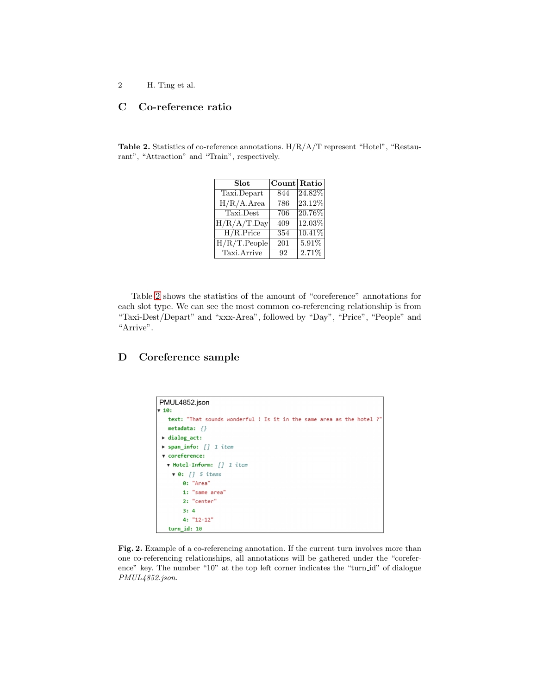### <span id="page-13-1"></span>C Co-reference ratio

<span id="page-13-0"></span>Table 2. Statistics of co-reference annotations. H/R/A/T represent "Hotel", "Restaurant", "Attraction" and "Train", respectively.

| Slot                     | Count Ratio |         |
|--------------------------|-------------|---------|
| Taxi.Depart              | 844         | 24.82\% |
| $H/R/A.A$ rea            | 786         | 23.12%  |
| Taxi.Dest                | 706         | 20.76%  |
| H/R/A/T.Day              | 409         | 12.03%  |
| $\overline{H/R}$ . Price | 354         | 10.41%  |
| $H/R/T$ . People         | 201         | 5.91%   |
| Taxi.Arrive              | 92          | 2.71%   |

Table [2](#page-13-0) shows the statistics of the amount of "coreference" annotations for each slot type. We can see the most common co-referencing relationship is from "Taxi-Dest/Depart" and "xxx-Area", followed by "Day", "Price", "People" and "Arrive".

## <span id="page-13-2"></span>D Coreference sample

| PMUL4852.json                                                         |
|-----------------------------------------------------------------------|
| $\sqrt{10}$ :                                                         |
| text: "That sounds wonderful ! Is it in the same area as the hotel ?" |
| metadata: $\{\}$                                                      |
| $\blacktriangleright$ dialog act:                                     |
| ▶ span info: $\int$ 1 item                                            |
| v coreference:                                                        |
| v Hotel-Inform: [] 1 item                                             |
| $\sqrt{0}:$ [] 5 items                                                |
| 0: "Area"                                                             |
| 1: "same area"                                                        |
| 2: "center"                                                           |
| 3:4                                                                   |
| 4: "12-12"                                                            |
| turn id: 10                                                           |

<span id="page-13-3"></span>Fig. 2. Example of a co-referencing annotation. If the current turn involves more than one co-referencing relationships, all annotations will be gathered under the "coreference" key. The number "10" at the top left corner indicates the "turn id" of dialogue PMUL4852.json.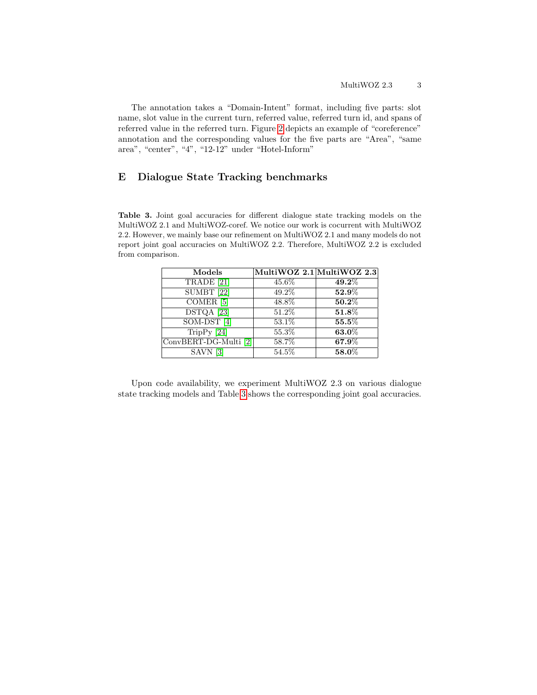The annotation takes a "Domain-Intent" format, including five parts: slot name, slot value in the current turn, referred value, referred turn id, and spans of referred value in the referred turn. Figure [2](#page-13-3) depicts an example of "coreference" annotation and the corresponding values for the five parts are "Area", "same area", "center", "4", "12-12" under "Hotel-Inform"

### <span id="page-14-0"></span>E Dialogue State Tracking benchmarks

<span id="page-14-1"></span>Table 3. Joint goal accuracies for different dialogue state tracking models on the MultiWOZ 2.1 and MultiWOZ-coref. We notice our work is cocurrent with MultiWOZ 2.2. However, we mainly base our refinement on MultiWOZ 2.1 and many models do not report joint goal accuracies on MultiWOZ 2.2. Therefore, MultiWOZ 2.2 is excluded from comparison.

| Models                           |       | MultiWOZ 2.1 MultiWOZ 2.3 |
|----------------------------------|-------|---------------------------|
| TRADE <sup>[21]</sup>            | 45.6% | 49.2%                     |
| $\overline{\mathrm{SUMBT}}$ [22] | 49.2% | 52.9%                     |
| $COMER$ [5]                      | 48.8% | 50.2%                     |
| DSTQA [23]                       | 51.2% | 51.8%                     |
| $SOM-OST[4]$                     | 53.1% | 55.5%                     |
| TripPy $[24]$                    | 55.3% | 63.0%                     |
| ConvBERT-DG-Multi [2]            | 58.7% | 67.9%                     |
| SAVN <sup>[3]</sup>              | 54.5% | 58.0%                     |

Upon code availability, we experiment MultiWOZ 2.3 on various dialogue state tracking models and Table [3](#page-14-1) shows the corresponding joint goal accuracies.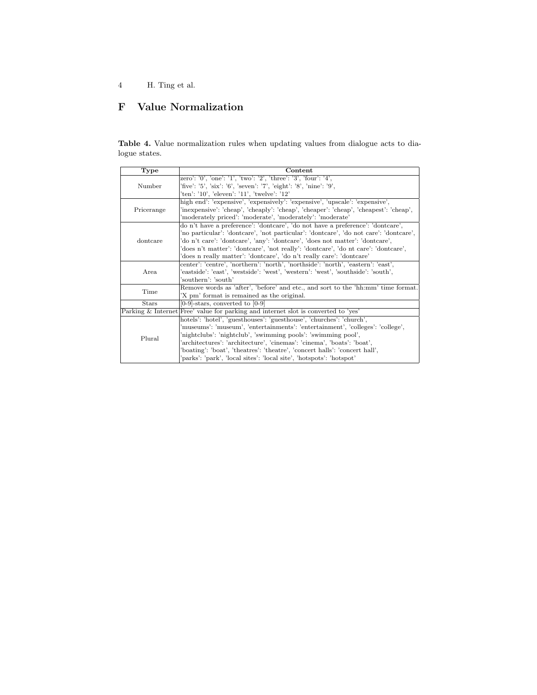# <span id="page-15-0"></span>F Value Normalization

Table 4. Value normalization rules when updating values from dialogue acts to dialogue states.

| Type         | Content                                                                               |  |  |
|--------------|---------------------------------------------------------------------------------------|--|--|
| Number       | zero': '0', 'one': '1', 'two': '2', 'three': '3', 'four': '4',                        |  |  |
|              | 'five': '5', 'six': '6', 'seven': '7', 'eight': '8', 'nine': '9',                     |  |  |
|              | 'ten': '10', 'eleven': '11', 'twelve': '12'                                           |  |  |
| Pricerange   | high end': 'expensive', 'expensively': 'expensive', 'upscale': 'expensive',           |  |  |
|              | 'inexpensive': 'cheap', 'cheaply': 'cheap', 'cheaper': 'cheap', 'cheapest': 'cheap',  |  |  |
|              | 'moderately priced': 'moderate', 'moderately': 'moderate'                             |  |  |
| dontcare     | do n't have a preference': 'dontcare', 'do not have a preference': 'dontcare',        |  |  |
|              | 'no particular': 'dontcare', 'not particular': 'dontcare', 'do not care': 'dontcare', |  |  |
|              | 'do n't care': 'dontcare', 'any': 'dontcare', 'does not matter': 'dontcare',          |  |  |
|              | 'does n't matter': 'dontcare', 'not really': 'dontcare', 'do nt care': 'dontcare',    |  |  |
|              | does n really matter': 'dontcare', 'do n't really care': 'dontcare'                   |  |  |
|              | center': 'centre', 'northern': 'north', 'northside': 'north', 'eastern': 'east',      |  |  |
| Area         | 'eastside': 'east', 'westside': 'west', 'western': 'west', 'southside': 'south',      |  |  |
|              | 'southern': 'south'                                                                   |  |  |
| Time         | Remove words as 'after', 'before' and etc., and sort to the 'hh:mm' time format.      |  |  |
|              | 'X pm' format is remained as the original.                                            |  |  |
| <b>Stars</b> | $[0-9]$ -stars, converted to $[0-9]$                                                  |  |  |
|              | Parking & Internet Free' value for parking and internet slot is converted to 'yes'    |  |  |
| Plural       | hotels': 'hotel', 'guesthouses': 'guesthouse', 'churches': 'church',                  |  |  |
|              | 'museums': 'museum', 'entertainments': 'entertainment', 'colleges': 'college',        |  |  |
|              | 'nightclubs': 'nightclub', 'swimming pools': 'swimming pool',                         |  |  |
|              | 'architectures': 'architecture', 'cinemas': 'cinema', 'boats': 'boat',                |  |  |
|              | 'boating': 'boat', 'theatres': 'theatre', 'concert halls': 'concert hall',            |  |  |
|              | 'parks': 'park', 'local sites': 'local site', 'hotspots': 'hotspot'                   |  |  |